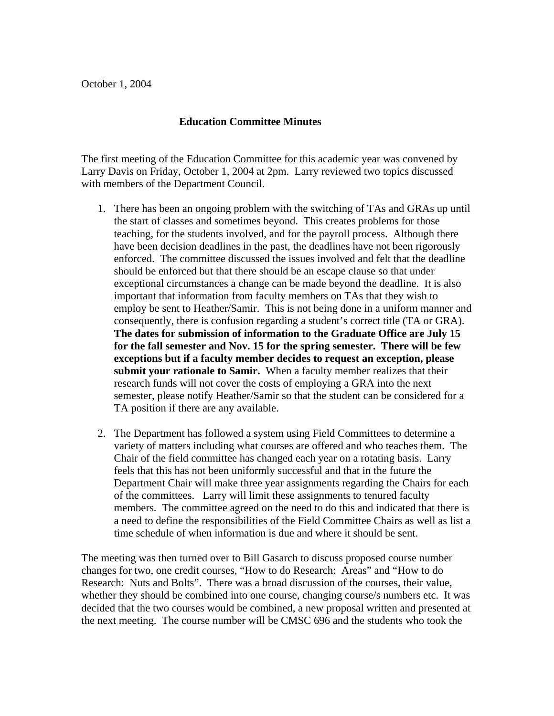## **Education Committee Minutes**

The first meeting of the Education Committee for this academic year was convened by Larry Davis on Friday, October 1, 2004 at 2pm. Larry reviewed two topics discussed with members of the Department Council.

- 1. There has been an ongoing problem with the switching of TAs and GRAs up until the start of classes and sometimes beyond. This creates problems for those teaching, for the students involved, and for the payroll process. Although there have been decision deadlines in the past, the deadlines have not been rigorously enforced. The committee discussed the issues involved and felt that the deadline should be enforced but that there should be an escape clause so that under exceptional circumstances a change can be made beyond the deadline. It is also important that information from faculty members on TAs that they wish to employ be sent to Heather/Samir. This is not being done in a uniform manner and consequently, there is confusion regarding a student's correct title (TA or GRA). **The dates for submission of information to the Graduate Office are July 15 for the fall semester and Nov. 15 for the spring semester. There will be few exceptions but if a faculty member decides to request an exception, please submit your rationale to Samir.** When a faculty member realizes that their research funds will not cover the costs of employing a GRA into the next semester, please notify Heather/Samir so that the student can be considered for a TA position if there are any available.
- 2. The Department has followed a system using Field Committees to determine a variety of matters including what courses are offered and who teaches them. The Chair of the field committee has changed each year on a rotating basis. Larry feels that this has not been uniformly successful and that in the future the Department Chair will make three year assignments regarding the Chairs for each of the committees. Larry will limit these assignments to tenured faculty members. The committee agreed on the need to do this and indicated that there is a need to define the responsibilities of the Field Committee Chairs as well as list a time schedule of when information is due and where it should be sent.

The meeting was then turned over to Bill Gasarch to discuss proposed course number changes for two, one credit courses, "How to do Research: Areas" and "How to do Research: Nuts and Bolts". There was a broad discussion of the courses, their value, whether they should be combined into one course, changing course/s numbers etc. It was decided that the two courses would be combined, a new proposal written and presented at the next meeting. The course number will be CMSC 696 and the students who took the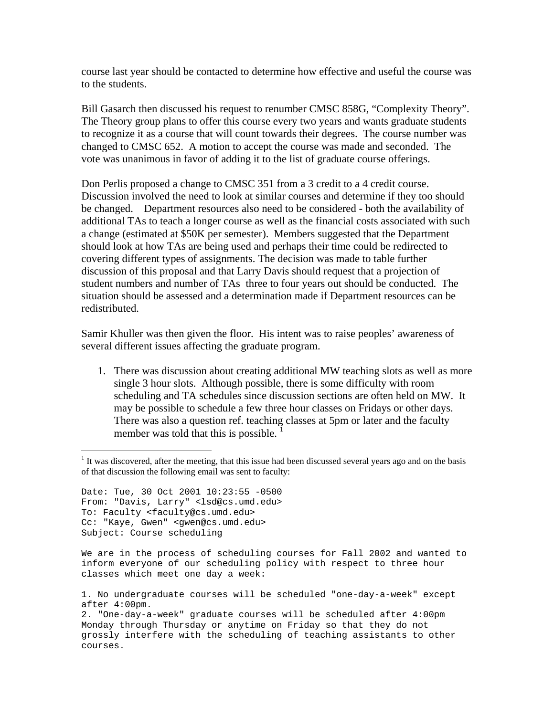course last year should be contacted to determine how effective and useful the course was to the students.

Bill Gasarch then discussed his request to renumber CMSC 858G, "Complexity Theory". The Theory group plans to offer this course every two years and wants graduate students to recognize it as a course that will count towards their degrees. The course number was changed to CMSC 652. A motion to accept the course was made and seconded. The vote was unanimous in favor of adding it to the list of graduate course offerings.

Don Perlis proposed a change to CMSC 351 from a 3 credit to a 4 credit course. Discussion involved the need to look at similar courses and determine if they too should be changed. Department resources also need to be considered - both the availability of additional TAs to teach a longer course as well as the financial costs associated with such a change (estimated at \$50K per semester). Members suggested that the Department should look at how TAs are being used and perhaps their time could be redirected to covering different types of assignments. The decision was made to table further discussion of this proposal and that Larry Davis should request that a projection of student numbers and number of TAs three to four years out should be conducted. The situation should be assessed and a determination made if Department resources can be redistributed.

Samir Khuller was then given the floor. His intent was to raise peoples' awareness of several different issues affecting the graduate program.

1. There was discussion about creating additional MW teaching slots as well as more single 3 hour slots. Although possible, there is some difficulty with room scheduling and TA schedules since discussion sections are often held on MW. It may be possible to schedule a few three hour classes on Fridays or other days. There was also a question ref. teaching classes at 5pm or later and the faculty member was told that this is possible.

Date: Tue, 30 Oct 2001 10:23:55 -0500 From: "Davis, Larry" <lsd@cs.umd.edu> To: Faculty <faculty@cs.umd.edu> Cc: "Kaye, Gwen" <gwen@cs.umd.edu> Subject: Course scheduling

 $\overline{a}$ 

We are in the process of scheduling courses for Fall 2002 and wanted to inform everyone of our scheduling policy with respect to three hour classes which meet one day a week:

1. No undergraduate courses will be scheduled "one-day-a-week" except after 4:00pm.

2. "One-day-a-week" graduate courses will be scheduled after 4:00pm Monday through Thursday or anytime on Friday so that they do not grossly interfere with the scheduling of teaching assistants to other courses.

<span id="page-1-0"></span><sup>&</sup>lt;sup>1</sup> It was discovered, after the meeting, that this issue had been discussed several years ago and on the basis of that discussion the following email was sent to faculty: